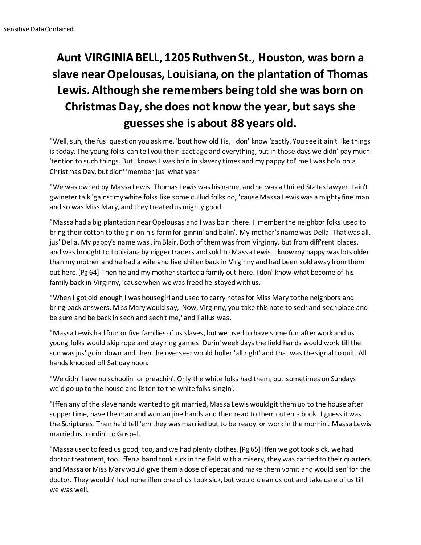## **Aunt VIRGINIA BELL, 1205 Ruthven St., Houston, was born a slave near Opelousas, Louisiana, on the plantation of Thomas Lewis. Although she remembers being told she was born on Christmas Day, she does not know the year, but says she guesses she is about 88 years old.**

"Well, suh, the fus' question you ask me, 'bout how old I is, I don' know 'zactly. You see it ain't like things is today. The young folks can tell you their 'zact age and everything, but in those days we didn' pay much 'tention to such things. But I knows I was bo'n in slavery times and my pappy tol' me I was bo'n on a Christmas Day, but didn' 'member jus' what year.

"We was owned by Massa Lewis. Thomas Lewis was his name, and he was a United States lawyer. I ain't gwineter talk 'gainst my white folks like some cullud folks do, 'cause Massa Lewis was a mighty fine man and so was Miss Mary, and they treated us mighty good.

"Massa had a big plantation near Opelousas and I was bo'n there. I 'member the neighbor folks used to bring their cotton to the gin on his farm for ginnin' and balin'. My mother's name was Della. That was all, jus' Della. My pappy's name was Jim Blair. Both of them was from Virginny, but from diff'rent places, and was brought to Louisiana by nigger traders and sold to Massa Lewis. I know my pappy was lots older than my mother and he had a wife and five chillen back in Virginny and had been sold away from them out here.[Pg 64] Then he and my mother started a family out here. I don' know what become of his family back in Virginny, 'cause when we was freed he stayed with us.

"When I got old enough I was housegirl and used to carry notes for Miss Mary to the neighbors and bring back answers. Miss Mary would say, 'Now, Virginny, you take this note to sech and sech place and be sure and be back in sech and sech time,' and I allus was.

"Massa Lewis had four or five families of us slaves, but we used to have some fun after work and us young folks would skip rope and play ring games. Durin' week days the field hands would work till the sun was jus' goin' down and then the overseer would holler 'all right' and that was the signal to quit. All hands knocked off Sat'day noon.

"We didn' have no schoolin' or preachin'. Only the white folks had them, but sometimes on Sundays we'd go up to the house and listen to the white folks singin'.

"Iffen any of the slave hands wanted to git married, Massa Lewis would git them up to the house after supper time, have the man and woman jine hands and then read to them outen a book. I guess it was the Scriptures. Then he'd tell 'em they was married but to be ready for work in the mornin'. Massa Lewis married us 'cordin' to Gospel.

"Massa used to feed us good, too, and we had plenty clothes.[Pg 65] Iffen we got took sick, we had doctor treatment, too. Iffen a hand took sick in the field with a misery, they was carried to their quarters and Massa or Miss Mary would give them a dose of epecac and make them vomit and would sen' for the doctor. They wouldn' fool none iffen one of us took sick, but would clean us out and take care of us till we was well.